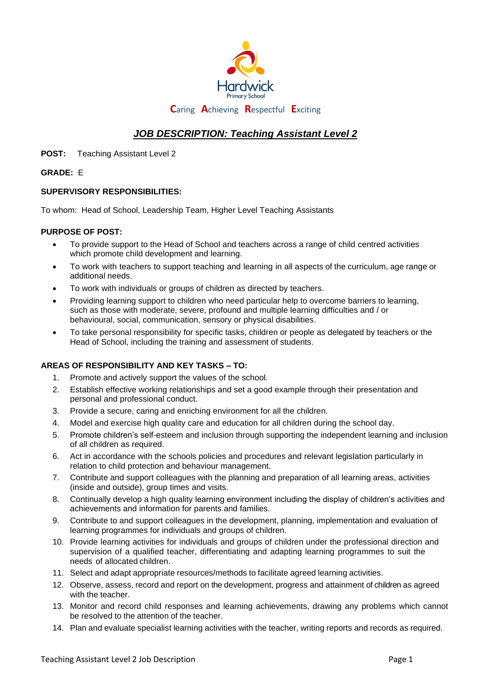

# *JOB DESCRIPTION: Teaching Assistant Level 2*

**POST:** Teaching Assistant Level 2

### **GRADE:** E

## **SUPERVISORY RESPONSIBILITIES:**

To whom: Head of School, Leadership Team, Higher Level Teaching Assistants

### **PURPOSE OF POST:**

- To provide support to the Head of School and teachers across a range of child centred activities which promote child development and learning.
- To work with teachers to support teaching and learning in all aspects of the curriculum, age range or additional needs.
- To work with individuals or groups of children as directed by teachers.
- Providing learning support to children who need particular help to overcome barriers to learning, such as those with moderate, severe, profound and multiple learning difficulties and / or behavioural, social, communication, sensory or physical disabilities.
- To take personal responsibility for specific tasks, children or people as delegated by teachers or the Head of School, including the training and assessment of students.

## **AREAS OF RESPONSIBILITY AND KEY TASKS – TO:**

- 1. Promote and actively support the values of the school.
- 2. Establish effective working relationships and set a good example through their presentation and personal and professional conduct.
- 3. Provide a secure, caring and enriching environment for all the children.
- 4. Model and exercise high quality care and education for all children during the school day.
- 5. Promote children's self-esteem and inclusion through supporting the independent learning and inclusion of all children as required.
- 6. Act in accordance with the schools policies and procedures and relevant legislation particularly in relation to child protection and behaviour management.
- 7. Contribute and support colleagues with the planning and preparation of all learning areas, activities (inside and outside), group times and visits.
- 8. Continually develop a high quality learning environment including the display of children's activities and achievements and information for parents and families.
- 9. Contribute to and support colleagues in the development, planning, implementation and evaluation of learning programmes for individuals and groups of children.
- 10. Provide learning activities for individuals and groups of children under the professional direction and supervision of a qualified teacher, differentiating and adapting learning programmes to suit the needs of allocated children.
- 11. Select and adapt appropriate resources/methods to facilitate agreed learning activities.
- 12. Observe, assess, record and report on the development, progress and attainment of children as agreed with the teacher.
- 13. Monitor and record child responses and learning achievements, drawing any problems which cannot be resolved to the attention of the teacher.
- 14. Plan and evaluate specialist learning activities with the teacher, writing reports and records as required.